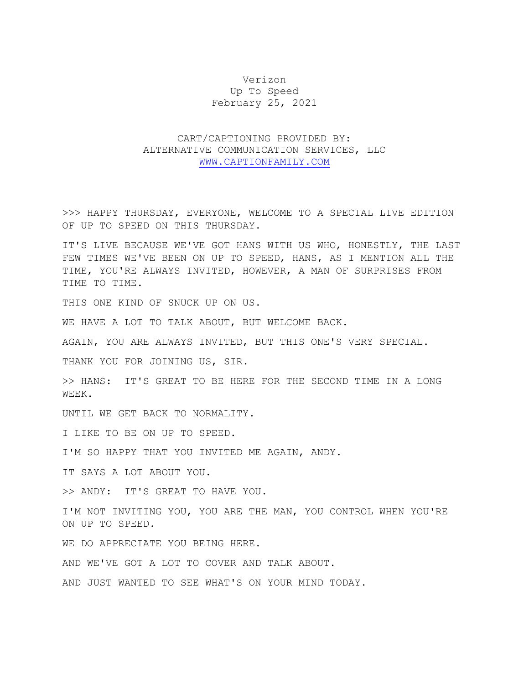## Verizon Up To Speed February 25, 2021

## CART/CAPTIONING PROVIDED BY: ALTERNATIVE COMMUNICATION SERVICES, LLC [WWW.CAPTIONFAMILY.COM](http://www.captionfamily.com/)

>>> HAPPY THURSDAY, EVERYONE, WELCOME TO A SPECIAL LIVE EDITION OF UP TO SPEED ON THIS THURSDAY.

IT'S LIVE BECAUSE WE'VE GOT HANS WITH US WHO, HONESTLY, THE LAST FEW TIMES WE'VE BEEN ON UP TO SPEED, HANS, AS I MENTION ALL THE TIME, YOU'RE ALWAYS INVITED, HOWEVER, A MAN OF SURPRISES FROM TIME TO TIME.

THIS ONE KIND OF SNUCK UP ON US.

WE HAVE A LOT TO TALK ABOUT, BUT WELCOME BACK.

AGAIN, YOU ARE ALWAYS INVITED, BUT THIS ONE'S VERY SPECIAL.

THANK YOU FOR JOINING US, SIR.

>> HANS: IT'S GREAT TO BE HERE FOR THE SECOND TIME IN A LONG WEEK.

UNTIL WE GET BACK TO NORMALITY.

I LIKE TO BE ON UP TO SPEED.

I'M SO HAPPY THAT YOU INVITED ME AGAIN, ANDY.

IT SAYS A LOT ABOUT YOU.

>> ANDY: IT'S GREAT TO HAVE YOU.

I'M NOT INVITING YOU, YOU ARE THE MAN, YOU CONTROL WHEN YOU'RE ON UP TO SPEED.

WE DO APPRECIATE YOU BEING HERE.

AND WE'VE GOT A LOT TO COVER AND TALK ABOUT.

AND JUST WANTED TO SEE WHAT'S ON YOUR MIND TODAY.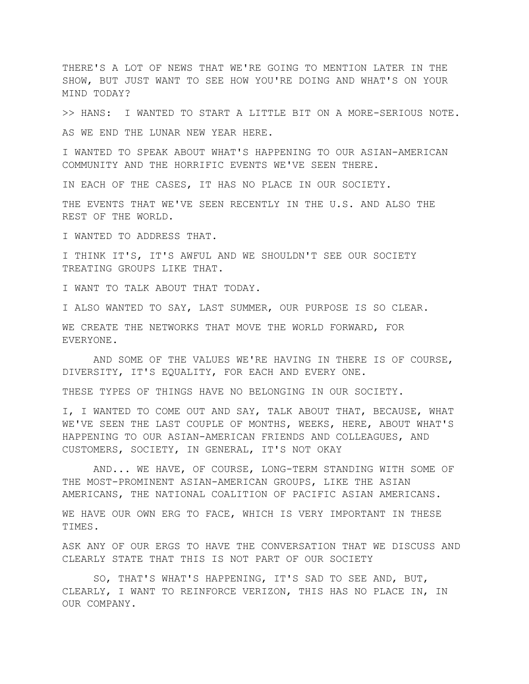THERE'S A LOT OF NEWS THAT WE'RE GOING TO MENTION LATER IN THE SHOW, BUT JUST WANT TO SEE HOW YOU'RE DOING AND WHAT'S ON YOUR MIND TODAY?

>> HANS: I WANTED TO START A LITTLE BIT ON A MORE-SERIOUS NOTE.

AS WE END THE LUNAR NEW YEAR HERE.

I WANTED TO SPEAK ABOUT WHAT'S HAPPENING TO OUR ASIAN-AMERICAN COMMUNITY AND THE HORRIFIC EVENTS WE'VE SEEN THERE.

IN EACH OF THE CASES, IT HAS NO PLACE IN OUR SOCIETY.

THE EVENTS THAT WE'VE SEEN RECENTLY IN THE U.S. AND ALSO THE REST OF THE WORLD.

I WANTED TO ADDRESS THAT.

I THINK IT'S, IT'S AWFUL AND WE SHOULDN'T SEE OUR SOCIETY TREATING GROUPS LIKE THAT.

I WANT TO TALK ABOUT THAT TODAY.

I ALSO WANTED TO SAY, LAST SUMMER, OUR PURPOSE IS SO CLEAR.

WE CREATE THE NETWORKS THAT MOVE THE WORLD FORWARD, FOR EVERYONE.

AND SOME OF THE VALUES WE'RE HAVING IN THERE IS OF COURSE, DIVERSITY, IT'S EQUALITY, FOR EACH AND EVERY ONE.

THESE TYPES OF THINGS HAVE NO BELONGING IN OUR SOCIETY.

I, I WANTED TO COME OUT AND SAY, TALK ABOUT THAT, BECAUSE, WHAT WE'VE SEEN THE LAST COUPLE OF MONTHS, WEEKS, HERE, ABOUT WHAT'S HAPPENING TO OUR ASIAN-AMERICAN FRIENDS AND COLLEAGUES, AND CUSTOMERS, SOCIETY, IN GENERAL, IT'S NOT OKAY

AND... WE HAVE, OF COURSE, LONG-TERM STANDING WITH SOME OF THE MOST-PROMINENT ASIAN-AMERICAN GROUPS, LIKE THE ASIAN AMERICANS, THE NATIONAL COALITION OF PACIFIC ASIAN AMERICANS.

WE HAVE OUR OWN ERG TO FACE, WHICH IS VERY IMPORTANT IN THESE TIMES.

ASK ANY OF OUR ERGS TO HAVE THE CONVERSATION THAT WE DISCUSS AND CLEARLY STATE THAT THIS IS NOT PART OF OUR SOCIETY

SO, THAT'S WHAT'S HAPPENING, IT'S SAD TO SEE AND, BUT, CLEARLY, I WANT TO REINFORCE VERIZON, THIS HAS NO PLACE IN, IN OUR COMPANY.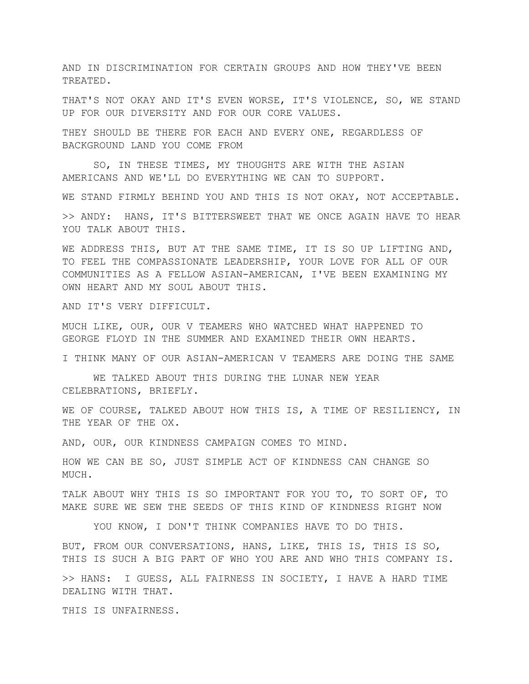AND IN DISCRIMINATION FOR CERTAIN GROUPS AND HOW THEY'VE BEEN TREATED.

THAT'S NOT OKAY AND IT'S EVEN WORSE, IT'S VIOLENCE, SO, WE STAND UP FOR OUR DIVERSITY AND FOR OUR CORE VALUES.

THEY SHOULD BE THERE FOR EACH AND EVERY ONE, REGARDLESS OF BACKGROUND LAND YOU COME FROM

SO, IN THESE TIMES, MY THOUGHTS ARE WITH THE ASIAN AMERICANS AND WE'LL DO EVERYTHING WE CAN TO SUPPORT.

WE STAND FIRMLY BEHIND YOU AND THIS IS NOT OKAY, NOT ACCEPTABLE.

>> ANDY: HANS, IT'S BITTERSWEET THAT WE ONCE AGAIN HAVE TO HEAR YOU TALK ABOUT THIS.

WE ADDRESS THIS, BUT AT THE SAME TIME, IT IS SO UP LIFTING AND, TO FEEL THE COMPASSIONATE LEADERSHIP, YOUR LOVE FOR ALL OF OUR COMMUNITIES AS A FELLOW ASIAN-AMERICAN, I'VE BEEN EXAMINING MY OWN HEART AND MY SOUL ABOUT THIS.

AND IT'S VERY DIFFICULT.

MUCH LIKE, OUR, OUR V TEAMERS WHO WATCHED WHAT HAPPENED TO GEORGE FLOYD IN THE SUMMER AND EXAMINED THEIR OWN HEARTS.

I THINK MANY OF OUR ASIAN-AMERICAN V TEAMERS ARE DOING THE SAME

WE TALKED ABOUT THIS DURING THE LUNAR NEW YEAR CELEBRATIONS, BRIEFLY.

WE OF COURSE, TALKED ABOUT HOW THIS IS, A TIME OF RESILIENCY, IN THE YEAR OF THE OX.

AND, OUR, OUR KINDNESS CAMPAIGN COMES TO MIND.

HOW WE CAN BE SO, JUST SIMPLE ACT OF KINDNESS CAN CHANGE SO MUCH.

TALK ABOUT WHY THIS IS SO IMPORTANT FOR YOU TO, TO SORT OF, TO MAKE SURE WE SEW THE SEEDS OF THIS KIND OF KINDNESS RIGHT NOW

YOU KNOW, I DON'T THINK COMPANIES HAVE TO DO THIS.

BUT, FROM OUR CONVERSATIONS, HANS, LIKE, THIS IS, THIS IS SO, THIS IS SUCH A BIG PART OF WHO YOU ARE AND WHO THIS COMPANY IS.

>> HANS: I GUESS, ALL FAIRNESS IN SOCIETY, I HAVE A HARD TIME DEALING WITH THAT.

THIS IS UNFAIRNESS.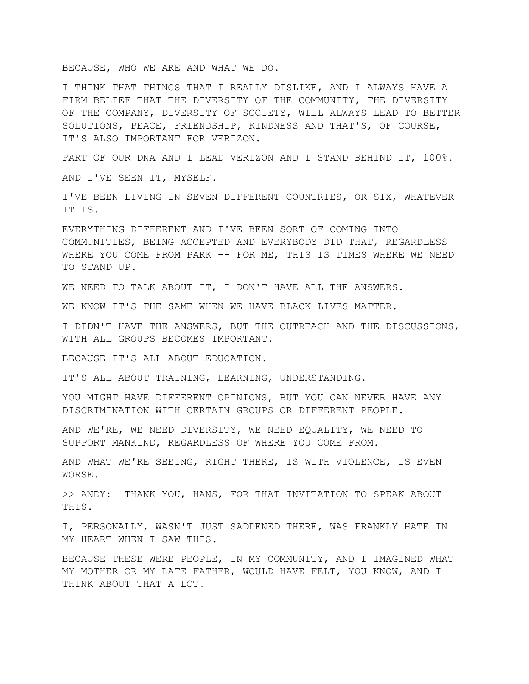BECAUSE, WHO WE ARE AND WHAT WE DO.

I THINK THAT THINGS THAT I REALLY DISLIKE, AND I ALWAYS HAVE A FIRM BELIEF THAT THE DIVERSITY OF THE COMMUNITY, THE DIVERSITY OF THE COMPANY, DIVERSITY OF SOCIETY, WILL ALWAYS LEAD TO BETTER SOLUTIONS, PEACE, FRIENDSHIP, KINDNESS AND THAT'S, OF COURSE, IT'S ALSO IMPORTANT FOR VERIZON.

PART OF OUR DNA AND I LEAD VERIZON AND I STAND BEHIND IT, 100%.

AND I'VE SEEN IT, MYSELF.

I'VE BEEN LIVING IN SEVEN DIFFERENT COUNTRIES, OR SIX, WHATEVER IT IS.

EVERYTHING DIFFERENT AND I'VE BEEN SORT OF COMING INTO COMMUNITIES, BEING ACCEPTED AND EVERYBODY DID THAT, REGARDLESS WHERE YOU COME FROM PARK -- FOR ME, THIS IS TIMES WHERE WE NEED TO STAND UP.

WE NEED TO TALK ABOUT IT, I DON'T HAVE ALL THE ANSWERS.

WE KNOW IT'S THE SAME WHEN WE HAVE BLACK LIVES MATTER.

I DIDN'T HAVE THE ANSWERS, BUT THE OUTREACH AND THE DISCUSSIONS, WITH ALL GROUPS BECOMES IMPORTANT.

BECAUSE IT'S ALL ABOUT EDUCATION.

IT'S ALL ABOUT TRAINING, LEARNING, UNDERSTANDING.

YOU MIGHT HAVE DIFFERENT OPINIONS, BUT YOU CAN NEVER HAVE ANY DISCRIMINATION WITH CERTAIN GROUPS OR DIFFERENT PEOPLE.

AND WE'RE, WE NEED DIVERSITY, WE NEED EQUALITY, WE NEED TO SUPPORT MANKIND, REGARDLESS OF WHERE YOU COME FROM.

AND WHAT WE'RE SEEING, RIGHT THERE, IS WITH VIOLENCE, IS EVEN WORSE.

>> ANDY: THANK YOU, HANS, FOR THAT INVITATION TO SPEAK ABOUT THIS.

I, PERSONALLY, WASN'T JUST SADDENED THERE, WAS FRANKLY HATE IN MY HEART WHEN I SAW THIS.

BECAUSE THESE WERE PEOPLE, IN MY COMMUNITY, AND I IMAGINED WHAT MY MOTHER OR MY LATE FATHER, WOULD HAVE FELT, YOU KNOW, AND I THINK ABOUT THAT A LOT.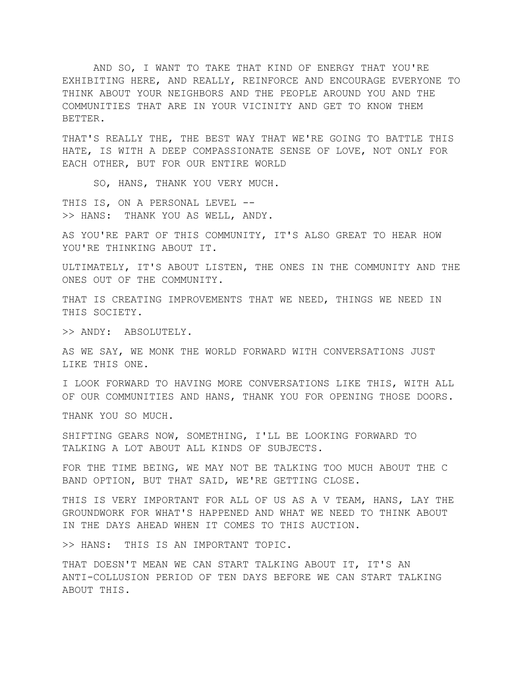AND SO, I WANT TO TAKE THAT KIND OF ENERGY THAT YOU'RE EXHIBITING HERE, AND REALLY, REINFORCE AND ENCOURAGE EVERYONE TO THINK ABOUT YOUR NEIGHBORS AND THE PEOPLE AROUND YOU AND THE COMMUNITIES THAT ARE IN YOUR VICINITY AND GET TO KNOW THEM BETTER.

THAT'S REALLY THE, THE BEST WAY THAT WE'RE GOING TO BATTLE THIS HATE, IS WITH A DEEP COMPASSIONATE SENSE OF LOVE, NOT ONLY FOR EACH OTHER, BUT FOR OUR ENTIRE WORLD

SO, HANS, THANK YOU VERY MUCH.

THIS IS, ON A PERSONAL LEVEL -->> HANS: THANK YOU AS WELL, ANDY.

AS YOU'RE PART OF THIS COMMUNITY, IT'S ALSO GREAT TO HEAR HOW YOU'RE THINKING ABOUT IT.

ULTIMATELY, IT'S ABOUT LISTEN, THE ONES IN THE COMMUNITY AND THE ONES OUT OF THE COMMUNITY.

THAT IS CREATING IMPROVEMENTS THAT WE NEED, THINGS WE NEED IN THIS SOCIETY.

>> ANDY: ABSOLUTELY.

AS WE SAY, WE MONK THE WORLD FORWARD WITH CONVERSATIONS JUST LIKE THIS ONE.

I LOOK FORWARD TO HAVING MORE CONVERSATIONS LIKE THIS, WITH ALL OF OUR COMMUNITIES AND HANS, THANK YOU FOR OPENING THOSE DOORS.

THANK YOU SO MUCH.

SHIFTING GEARS NOW, SOMETHING, I'LL BE LOOKING FORWARD TO TALKING A LOT ABOUT ALL KINDS OF SUBJECTS.

FOR THE TIME BEING, WE MAY NOT BE TALKING TOO MUCH ABOUT THE C BAND OPTION, BUT THAT SAID, WE'RE GETTING CLOSE.

THIS IS VERY IMPORTANT FOR ALL OF US AS A V TEAM, HANS, LAY THE GROUNDWORK FOR WHAT'S HAPPENED AND WHAT WE NEED TO THINK ABOUT IN THE DAYS AHEAD WHEN IT COMES TO THIS AUCTION.

>> HANS: THIS IS AN IMPORTANT TOPIC.

THAT DOESN'T MEAN WE CAN START TALKING ABOUT IT, IT'S AN ANTI-COLLUSION PERIOD OF TEN DAYS BEFORE WE CAN START TALKING ABOUT THIS.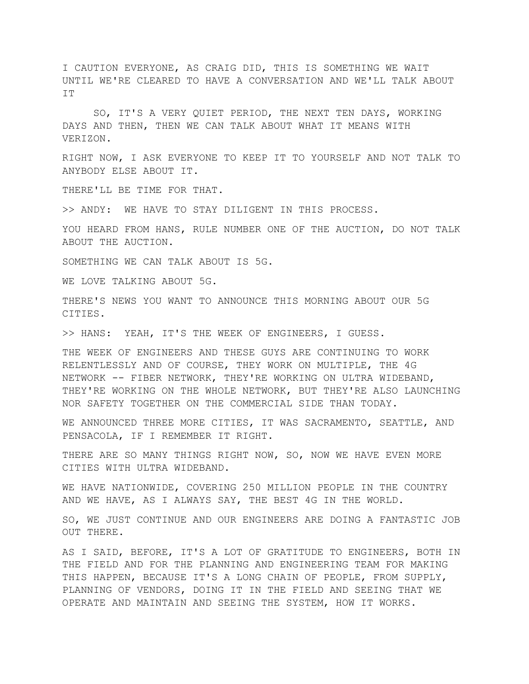I CAUTION EVERYONE, AS CRAIG DID, THIS IS SOMETHING WE WAIT UNTIL WE'RE CLEARED TO HAVE A CONVERSATION AND WE'LL TALK ABOUT TT.

SO, IT'S A VERY QUIET PERIOD, THE NEXT TEN DAYS, WORKING DAYS AND THEN, THEN WE CAN TALK ABOUT WHAT IT MEANS WITH VERIZON.

RIGHT NOW, I ASK EVERYONE TO KEEP IT TO YOURSELF AND NOT TALK TO ANYBODY ELSE ABOUT IT.

THERE'LL BE TIME FOR THAT.

>> ANDY: WE HAVE TO STAY DILIGENT IN THIS PROCESS.

YOU HEARD FROM HANS, RULE NUMBER ONE OF THE AUCTION, DO NOT TALK ABOUT THE AUCTION.

SOMETHING WE CAN TALK ABOUT IS 5G.

WE LOVE TALKING ABOUT 5G.

THERE'S NEWS YOU WANT TO ANNOUNCE THIS MORNING ABOUT OUR 5G CITIES.

>> HANS: YEAH, IT'S THE WEEK OF ENGINEERS, I GUESS.

THE WEEK OF ENGINEERS AND THESE GUYS ARE CONTINUING TO WORK RELENTLESSLY AND OF COURSE, THEY WORK ON MULTIPLE, THE 4G NETWORK -- FIBER NETWORK, THEY'RE WORKING ON ULTRA WIDEBAND, THEY'RE WORKING ON THE WHOLE NETWORK, BUT THEY'RE ALSO LAUNCHING NOR SAFETY TOGETHER ON THE COMMERCIAL SIDE THAN TODAY.

WE ANNOUNCED THREE MORE CITIES, IT WAS SACRAMENTO, SEATTLE, AND PENSACOLA, IF I REMEMBER IT RIGHT.

THERE ARE SO MANY THINGS RIGHT NOW, SO, NOW WE HAVE EVEN MORE CITIES WITH ULTRA WIDEBAND.

WE HAVE NATIONWIDE, COVERING 250 MILLION PEOPLE IN THE COUNTRY AND WE HAVE, AS I ALWAYS SAY, THE BEST 4G IN THE WORLD.

SO, WE JUST CONTINUE AND OUR ENGINEERS ARE DOING A FANTASTIC JOB OUT THERE.

AS I SAID, BEFORE, IT'S A LOT OF GRATITUDE TO ENGINEERS, BOTH IN THE FIELD AND FOR THE PLANNING AND ENGINEERING TEAM FOR MAKING THIS HAPPEN, BECAUSE IT'S A LONG CHAIN OF PEOPLE, FROM SUPPLY, PLANNING OF VENDORS, DOING IT IN THE FIELD AND SEEING THAT WE OPERATE AND MAINTAIN AND SEEING THE SYSTEM, HOW IT WORKS.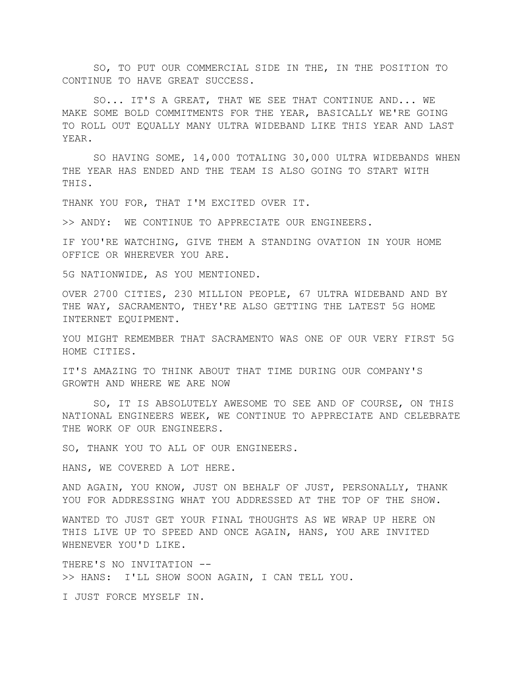SO, TO PUT OUR COMMERCIAL SIDE IN THE, IN THE POSITION TO CONTINUE TO HAVE GREAT SUCCESS.

SO... IT'S A GREAT, THAT WE SEE THAT CONTINUE AND... WE MAKE SOME BOLD COMMITMENTS FOR THE YEAR, BASICALLY WE'RE GOING TO ROLL OUT EQUALLY MANY ULTRA WIDEBAND LIKE THIS YEAR AND LAST YEAR.

SO HAVING SOME, 14,000 TOTALING 30,000 ULTRA WIDEBANDS WHEN THE YEAR HAS ENDED AND THE TEAM IS ALSO GOING TO START WITH THIS.

THANK YOU FOR, THAT I'M EXCITED OVER IT.

>> ANDY: WE CONTINUE TO APPRECIATE OUR ENGINEERS.

IF YOU'RE WATCHING, GIVE THEM A STANDING OVATION IN YOUR HOME OFFICE OR WHEREVER YOU ARE.

5G NATIONWIDE, AS YOU MENTIONED.

OVER 2700 CITIES, 230 MILLION PEOPLE, 67 ULTRA WIDEBAND AND BY THE WAY, SACRAMENTO, THEY'RE ALSO GETTING THE LATEST 5G HOME INTERNET EQUIPMENT.

YOU MIGHT REMEMBER THAT SACRAMENTO WAS ONE OF OUR VERY FIRST 5G HOME CITIES.

IT'S AMAZING TO THINK ABOUT THAT TIME DURING OUR COMPANY'S GROWTH AND WHERE WE ARE NOW

SO, IT IS ABSOLUTELY AWESOME TO SEE AND OF COURSE, ON THIS NATIONAL ENGINEERS WEEK, WE CONTINUE TO APPRECIATE AND CELEBRATE THE WORK OF OUR ENGINEERS.

SO, THANK YOU TO ALL OF OUR ENGINEERS.

HANS, WE COVERED A LOT HERE.

AND AGAIN, YOU KNOW, JUST ON BEHALF OF JUST, PERSONALLY, THANK YOU FOR ADDRESSING WHAT YOU ADDRESSED AT THE TOP OF THE SHOW.

WANTED TO JUST GET YOUR FINAL THOUGHTS AS WE WRAP UP HERE ON THIS LIVE UP TO SPEED AND ONCE AGAIN, HANS, YOU ARE INVITED WHENEVER YOU'D LIKE.

THERE'S NO INVITATION -- >> HANS: I'LL SHOW SOON AGAIN, I CAN TELL YOU.

I JUST FORCE MYSELF IN.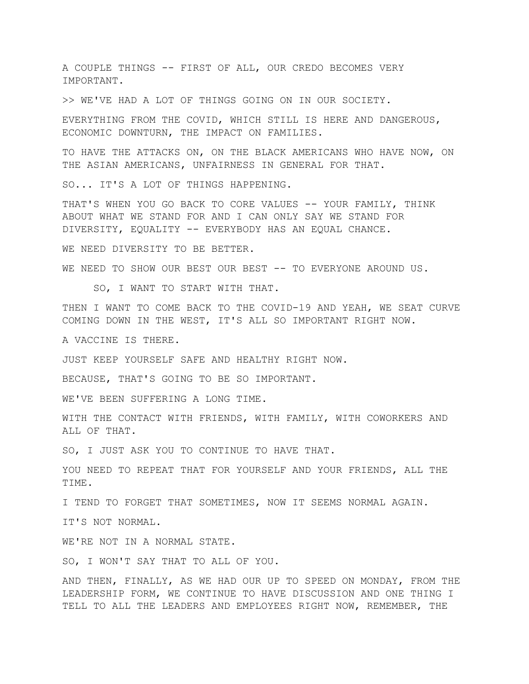A COUPLE THINGS -- FIRST OF ALL, OUR CREDO BECOMES VERY IMPORTANT.

>> WE'VE HAD A LOT OF THINGS GOING ON IN OUR SOCIETY.

EVERYTHING FROM THE COVID, WHICH STILL IS HERE AND DANGEROUS, ECONOMIC DOWNTURN, THE IMPACT ON FAMILIES.

TO HAVE THE ATTACKS ON, ON THE BLACK AMERICANS WHO HAVE NOW, ON THE ASIAN AMERICANS, UNFAIRNESS IN GENERAL FOR THAT.

SO... IT'S A LOT OF THINGS HAPPENING.

THAT'S WHEN YOU GO BACK TO CORE VALUES -- YOUR FAMILY, THINK ABOUT WHAT WE STAND FOR AND I CAN ONLY SAY WE STAND FOR DIVERSITY, EQUALITY -- EVERYBODY HAS AN EQUAL CHANCE.

WE NEED DIVERSITY TO BE BETTER.

WE NEED TO SHOW OUR BEST OUR BEST -- TO EVERYONE AROUND US.

SO, I WANT TO START WITH THAT.

THEN I WANT TO COME BACK TO THE COVID-19 AND YEAH, WE SEAT CURVE COMING DOWN IN THE WEST, IT'S ALL SO IMPORTANT RIGHT NOW.

A VACCINE IS THERE.

JUST KEEP YOURSELF SAFE AND HEALTHY RIGHT NOW.

BECAUSE, THAT'S GOING TO BE SO IMPORTANT.

WE'VE BEEN SUFFERING A LONG TIME.

WITH THE CONTACT WITH FRIENDS, WITH FAMILY, WITH COWORKERS AND ALL OF THAT.

SO, I JUST ASK YOU TO CONTINUE TO HAVE THAT.

YOU NEED TO REPEAT THAT FOR YOURSELF AND YOUR FRIENDS, ALL THE TIME.

I TEND TO FORGET THAT SOMETIMES, NOW IT SEEMS NORMAL AGAIN.

IT'S NOT NORMAL.

WE'RE NOT IN A NORMAL STATE.

SO, I WON'T SAY THAT TO ALL OF YOU.

AND THEN, FINALLY, AS WE HAD OUR UP TO SPEED ON MONDAY, FROM THE LEADERSHIP FORM, WE CONTINUE TO HAVE DISCUSSION AND ONE THING I TELL TO ALL THE LEADERS AND EMPLOYEES RIGHT NOW, REMEMBER, THE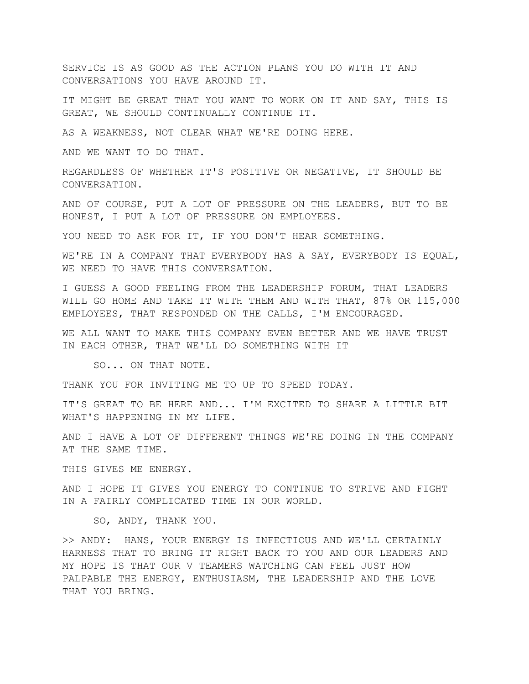SERVICE IS AS GOOD AS THE ACTION PLANS YOU DO WITH IT AND CONVERSATIONS YOU HAVE AROUND IT.

IT MIGHT BE GREAT THAT YOU WANT TO WORK ON IT AND SAY, THIS IS GREAT, WE SHOULD CONTINUALLY CONTINUE IT.

AS A WEAKNESS, NOT CLEAR WHAT WE'RE DOING HERE.

AND WE WANT TO DO THAT.

REGARDLESS OF WHETHER IT'S POSITIVE OR NEGATIVE, IT SHOULD BE CONVERSATION.

AND OF COURSE, PUT A LOT OF PRESSURE ON THE LEADERS, BUT TO BE HONEST, I PUT A LOT OF PRESSURE ON EMPLOYEES.

YOU NEED TO ASK FOR IT, IF YOU DON'T HEAR SOMETHING.

WE'RE IN A COMPANY THAT EVERYBODY HAS A SAY, EVERYBODY IS EQUAL, WE NEED TO HAVE THIS CONVERSATION.

I GUESS A GOOD FEELING FROM THE LEADERSHIP FORUM, THAT LEADERS WILL GO HOME AND TAKE IT WITH THEM AND WITH THAT, 87% OR 115,000 EMPLOYEES, THAT RESPONDED ON THE CALLS, I'M ENCOURAGED.

WE ALL WANT TO MAKE THIS COMPANY EVEN BETTER AND WE HAVE TRUST IN EACH OTHER, THAT WE'LL DO SOMETHING WITH IT

SO... ON THAT NOTE.

THANK YOU FOR INVITING ME TO UP TO SPEED TODAY.

IT'S GREAT TO BE HERE AND... I'M EXCITED TO SHARE A LITTLE BIT WHAT'S HAPPENING IN MY LIFE.

AND I HAVE A LOT OF DIFFERENT THINGS WE'RE DOING IN THE COMPANY AT THE SAME TIME.

THIS GIVES ME ENERGY.

AND I HOPE IT GIVES YOU ENERGY TO CONTINUE TO STRIVE AND FIGHT IN A FAIRLY COMPLICATED TIME IN OUR WORLD.

SO, ANDY, THANK YOU.

>> ANDY: HANS, YOUR ENERGY IS INFECTIOUS AND WE'LL CERTAINLY HARNESS THAT TO BRING IT RIGHT BACK TO YOU AND OUR LEADERS AND MY HOPE IS THAT OUR V TEAMERS WATCHING CAN FEEL JUST HOW PALPABLE THE ENERGY, ENTHUSIASM, THE LEADERSHIP AND THE LOVE THAT YOU BRING.